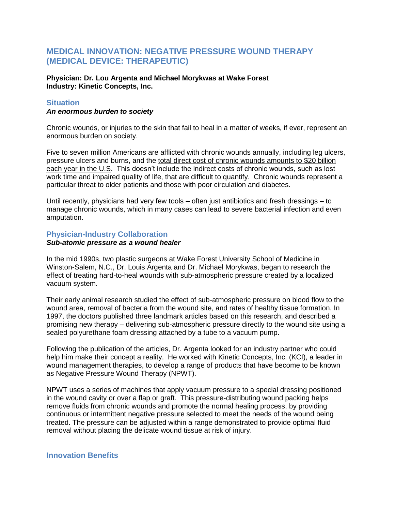# **MEDICAL INNOVATION: NEGATIVE PRESSURE WOUND THERAPY (MEDICAL DEVICE: THERAPEUTIC)**

**Physician: Dr. Lou Argenta and Michael Morykwas at Wake Forest Industry: Kinetic Concepts, Inc.**

### **Situation**

#### *An enormous burden to society*

Chronic wounds, or injuries to the skin that fail to heal in a matter of weeks, if ever, represent an enormous burden on society.

Five to seven million Americans are afflicted with chronic wounds annually, including leg ulcers, pressure ulcers and burns, and the total direct cost of chronic wounds amounts to \$20 billion each year in the U.S. This doesn't include the indirect costs of chronic wounds, such as lost work time and impaired quality of life, that are difficult to quantify. Chronic wounds represent a particular threat to older patients and those with poor circulation and diabetes.

Until recently, physicians had very few tools – often just antibiotics and fresh dressings – to manage chronic wounds, which in many cases can lead to severe bacterial infection and even amputation.

## **Physician-Industry Collaboration**

#### *Sub-atomic pressure as a wound healer*

In the mid 1990s, two plastic surgeons at Wake Forest University School of Medicine in Winston-Salem, N.C., Dr. Louis Argenta and Dr. Michael Morykwas, began to research the effect of treating hard-to-heal wounds with sub-atmospheric pressure created by a localized vacuum system.

Their early animal research studied the effect of sub-atmospheric pressure on blood flow to the wound area, removal of bacteria from the wound site, and rates of healthy tissue formation. In 1997, the doctors published three landmark articles based on this research, and described a promising new therapy – delivering sub-atmospheric pressure directly to the wound site using a sealed polyurethane foam dressing attached by a tube to a vacuum pump.

Following the publication of the articles, Dr. Argenta looked for an industry partner who could help him make their concept a reality. He worked with Kinetic Concepts, Inc. (KCI), a leader in wound management therapies, to develop a range of products that have become to be known as Negative Pressure Wound Therapy (NPWT).

NPWT uses a series of machines that apply vacuum pressure to a special dressing positioned in the wound cavity or over a flap or graft. This pressure-distributing wound packing helps remove fluids from chronic wounds and promote the normal healing process, by providing continuous or intermittent negative pressure selected to meet the needs of the wound being treated. The pressure can be adjusted within a range demonstrated to provide optimal fluid removal without placing the delicate wound tissue at risk of injury.

# **Innovation Benefits**